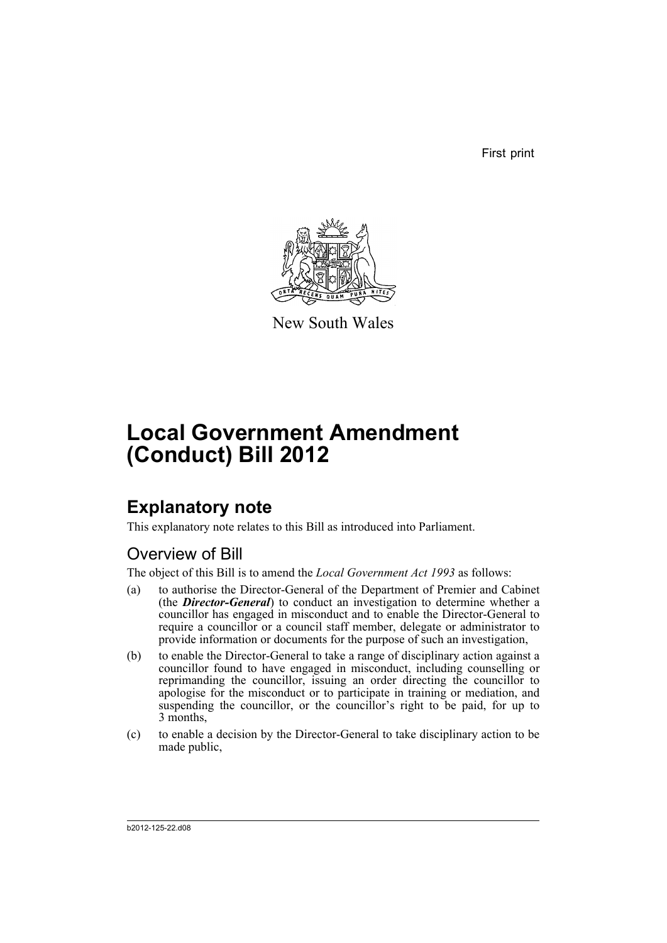First print



New South Wales

# **Local Government Amendment (Conduct) Bill 2012**

# **Explanatory note**

This explanatory note relates to this Bill as introduced into Parliament.

# Overview of Bill

The object of this Bill is to amend the *Local Government Act 1993* as follows:

- (a) to authorise the Director-General of the Department of Premier and Cabinet (the *Director-General*) to conduct an investigation to determine whether a councillor has engaged in misconduct and to enable the Director-General to require a councillor or a council staff member, delegate or administrator to provide information or documents for the purpose of such an investigation,
- (b) to enable the Director-General to take a range of disciplinary action against a councillor found to have engaged in misconduct, including counselling or reprimanding the councillor, issuing an order directing the councillor to apologise for the misconduct or to participate in training or mediation, and suspending the councillor, or the councillor's right to be paid, for up to 3 months,
- (c) to enable a decision by the Director-General to take disciplinary action to be made public,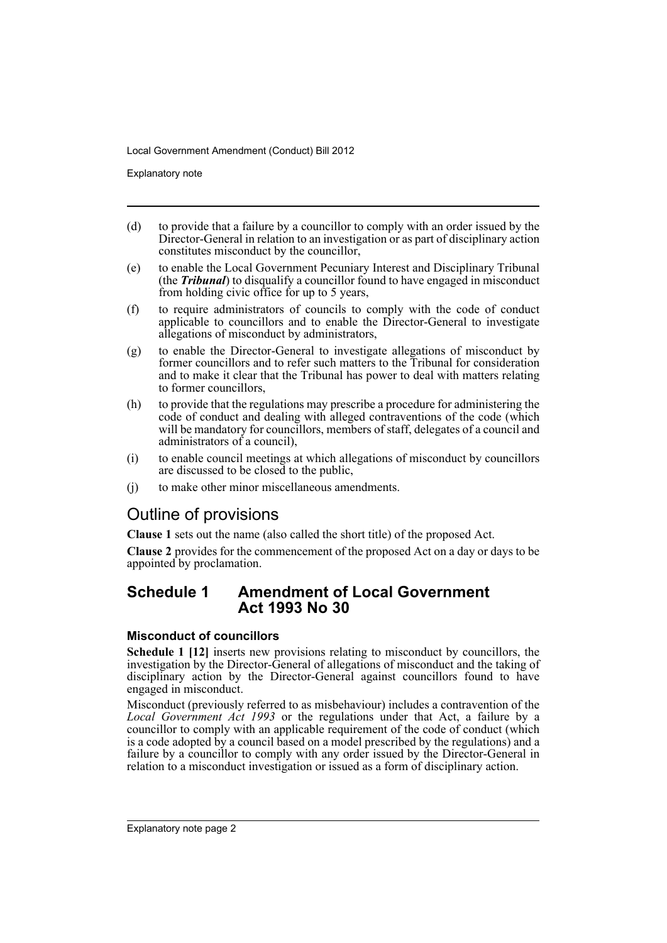Explanatory note

- (d) to provide that a failure by a councillor to comply with an order issued by the Director-General in relation to an investigation or as part of disciplinary action constitutes misconduct by the councillor,
- (e) to enable the Local Government Pecuniary Interest and Disciplinary Tribunal (the *Tribunal*) to disqualify a councillor found to have engaged in misconduct from holding civic office for up to 5 years,
- (f) to require administrators of councils to comply with the code of conduct applicable to councillors and to enable the Director-General to investigate allegations of misconduct by administrators,
- (g) to enable the Director-General to investigate allegations of misconduct by former councillors and to refer such matters to the Tribunal for consideration and to make it clear that the Tribunal has power to deal with matters relating to former councillors,
- (h) to provide that the regulations may prescribe a procedure for administering the code of conduct and dealing with alleged contraventions of the code (which will be mandatory for councillors, members of staff, delegates of a council and administrators of a council),
- (i) to enable council meetings at which allegations of misconduct by councillors are discussed to be closed to the public,
- (j) to make other minor miscellaneous amendments.

# Outline of provisions

**Clause 1** sets out the name (also called the short title) of the proposed Act.

**Clause 2** provides for the commencement of the proposed Act on a day or days to be appointed by proclamation.

# **Schedule 1 Amendment of Local Government Act 1993 No 30**

### **Misconduct of councillors**

**Schedule 1 [12]** inserts new provisions relating to misconduct by councillors, the investigation by the Director-General of allegations of misconduct and the taking of disciplinary action by the Director-General against councillors found to have engaged in misconduct.

Misconduct (previously referred to as misbehaviour) includes a contravention of the *Local Government Act 1993* or the regulations under that Act, a failure by a councillor to comply with an applicable requirement of the code of conduct (which is a code adopted by a council based on a model prescribed by the regulations) and a failure by a councillor to comply with any order issued by the Director-General in relation to a misconduct investigation or issued as a form of disciplinary action.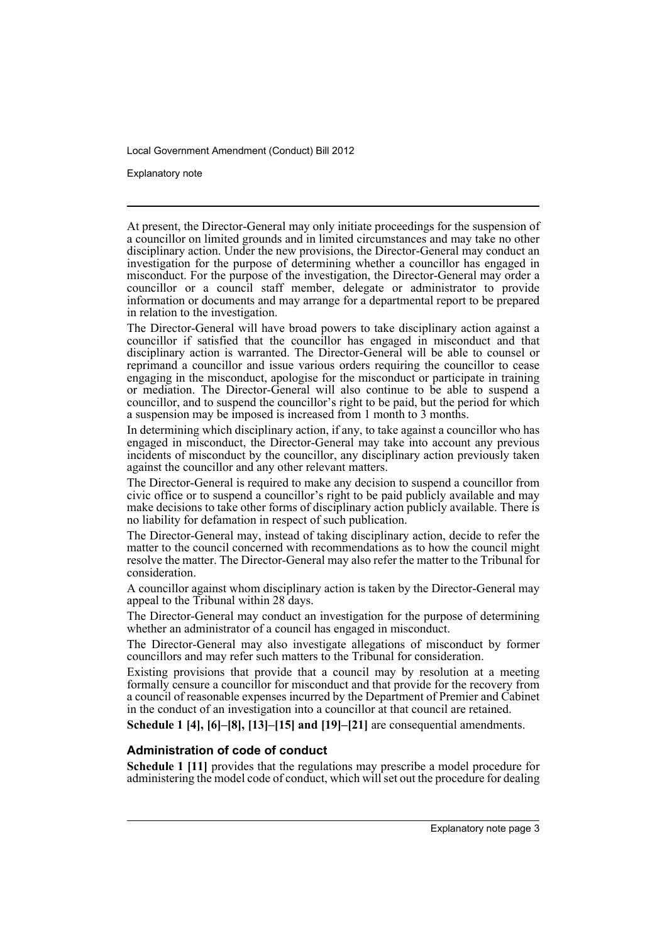Explanatory note

At present, the Director-General may only initiate proceedings for the suspension of a councillor on limited grounds and in limited circumstances and may take no other disciplinary action. Under the new provisions, the Director-General may conduct an investigation for the purpose of determining whether a councillor has engaged in misconduct. For the purpose of the investigation, the Director-General may order a councillor or a council staff member, delegate or administrator to provide information or documents and may arrange for a departmental report to be prepared in relation to the investigation.

The Director-General will have broad powers to take disciplinary action against a councillor if satisfied that the councillor has engaged in misconduct and that disciplinary action is warranted. The Director-General will be able to counsel or reprimand a councillor and issue various orders requiring the councillor to cease engaging in the misconduct, apologise for the misconduct or participate in training or mediation. The Director-General will also continue to be able to suspend a councillor, and to suspend the councillor's right to be paid, but the period for which a suspension may be imposed is increased from 1 month to 3 months.

In determining which disciplinary action, if any, to take against a councillor who has engaged in misconduct, the Director-General may take into account any previous incidents of misconduct by the councillor, any disciplinary action previously taken against the councillor and any other relevant matters.

The Director-General is required to make any decision to suspend a councillor from civic office or to suspend a councillor's right to be paid publicly available and may make decisions to take other forms of disciplinary action publicly available. There is no liability for defamation in respect of such publication.

The Director-General may, instead of taking disciplinary action, decide to refer the matter to the council concerned with recommendations as to how the council might resolve the matter. The Director-General may also refer the matter to the Tribunal for consideration.

A councillor against whom disciplinary action is taken by the Director-General may appeal to the Tribunal within 28 days.

The Director-General may conduct an investigation for the purpose of determining whether an administrator of a council has engaged in misconduct.

The Director-General may also investigate allegations of misconduct by former councillors and may refer such matters to the Tribunal for consideration.

Existing provisions that provide that a council may by resolution at a meeting formally censure a councillor for misconduct and that provide for the recovery from a council of reasonable expenses incurred by the Department of Premier and Cabinet in the conduct of an investigation into a councillor at that council are retained.

**Schedule 1 [4], [6]–[8], [13]–[15] and [19]–[21]** are consequential amendments.

#### **Administration of code of conduct**

**Schedule 1 [11]** provides that the regulations may prescribe a model procedure for administering the model code of conduct, which will set out the procedure for dealing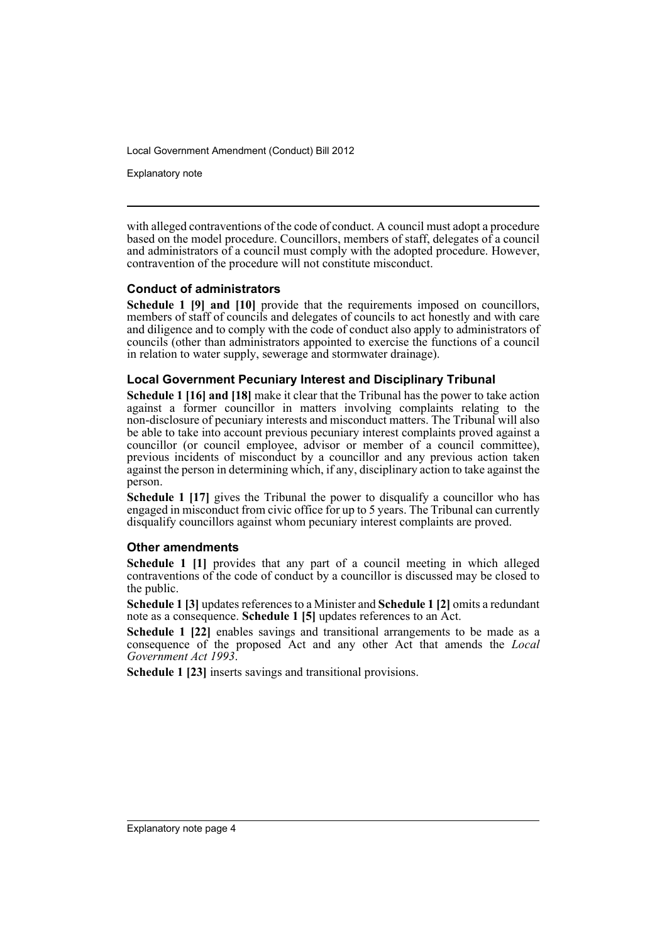Explanatory note

with alleged contraventions of the code of conduct. A council must adopt a procedure based on the model procedure. Councillors, members of staff, delegates of a council and administrators of a council must comply with the adopted procedure. However, contravention of the procedure will not constitute misconduct.

### **Conduct of administrators**

**Schedule 1 [9] and [10]** provide that the requirements imposed on councillors, members of staff of councils and delegates of councils to act honestly and with care and diligence and to comply with the code of conduct also apply to administrators of councils (other than administrators appointed to exercise the functions of a council in relation to water supply, sewerage and stormwater drainage).

### **Local Government Pecuniary Interest and Disciplinary Tribunal**

**Schedule 1 [16] and [18]** make it clear that the Tribunal has the power to take action against a former councillor in matters involving complaints relating to the non-disclosure of pecuniary interests and misconduct matters. The Tribunal will also be able to take into account previous pecuniary interest complaints proved against a councillor (or council employee, advisor or member of a council committee), previous incidents of misconduct by a councillor and any previous action taken against the person in determining which, if any, disciplinary action to take against the person.

**Schedule 1 [17]** gives the Tribunal the power to disqualify a councillor who has engaged in misconduct from civic office for up to 5 years. The Tribunal can currently disqualify councillors against whom pecuniary interest complaints are proved.

#### **Other amendments**

**Schedule 1 [1]** provides that any part of a council meeting in which alleged contraventions of the code of conduct by a councillor is discussed may be closed to the public.

**Schedule 1 [3]** updates references to a Minister and **Schedule 1 [2]** omits a redundant note as a consequence. **Schedule 1 [5]** updates references to an Act.

**Schedule 1 [22]** enables savings and transitional arrangements to be made as a consequence of the proposed Act and any other Act that amends the *Local Government Act 1993*.

**Schedule 1 [23]** inserts savings and transitional provisions.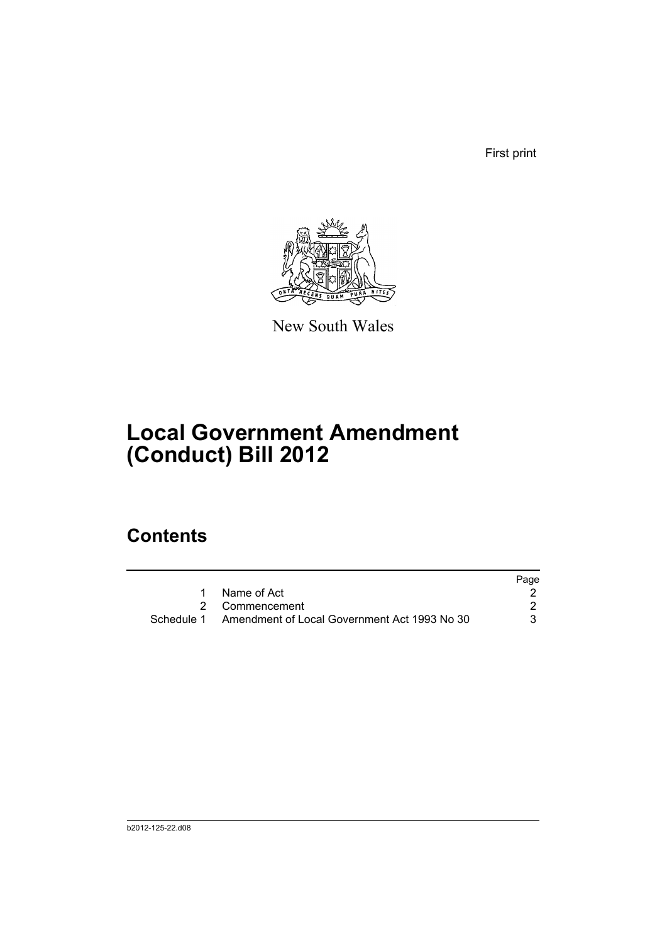First print



New South Wales

# **Local Government Amendment (Conduct) Bill 2012**

# **Contents**

|                                                         | Page |
|---------------------------------------------------------|------|
| 1 Name of Act                                           |      |
| 2 Commencement                                          |      |
| Schedule 1 Amendment of Local Government Act 1993 No 30 | 3    |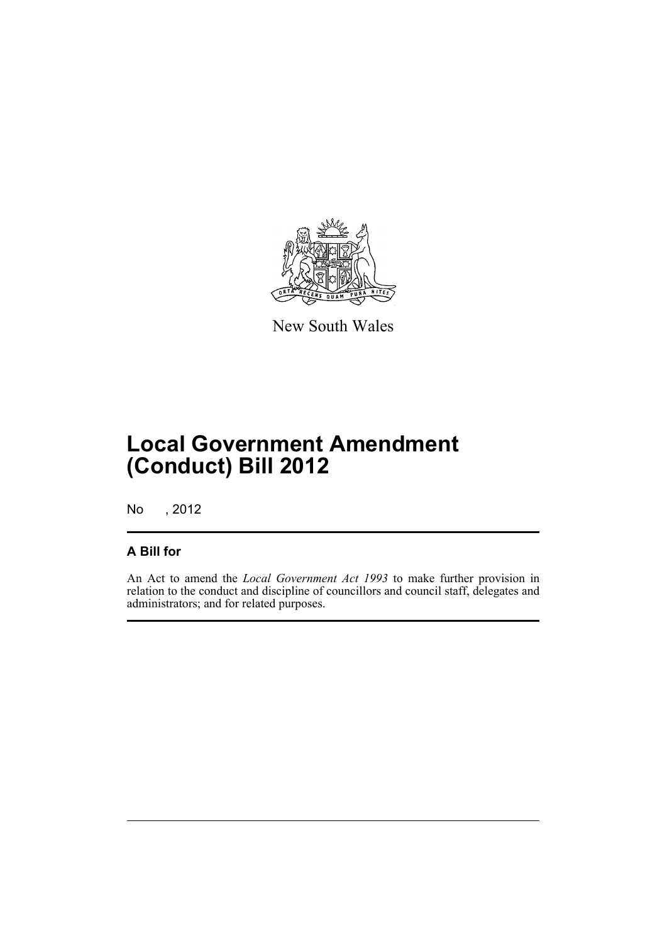

New South Wales

# **Local Government Amendment (Conduct) Bill 2012**

No , 2012

## **A Bill for**

An Act to amend the *Local Government Act 1993* to make further provision in relation to the conduct and discipline of councillors and council staff, delegates and administrators; and for related purposes.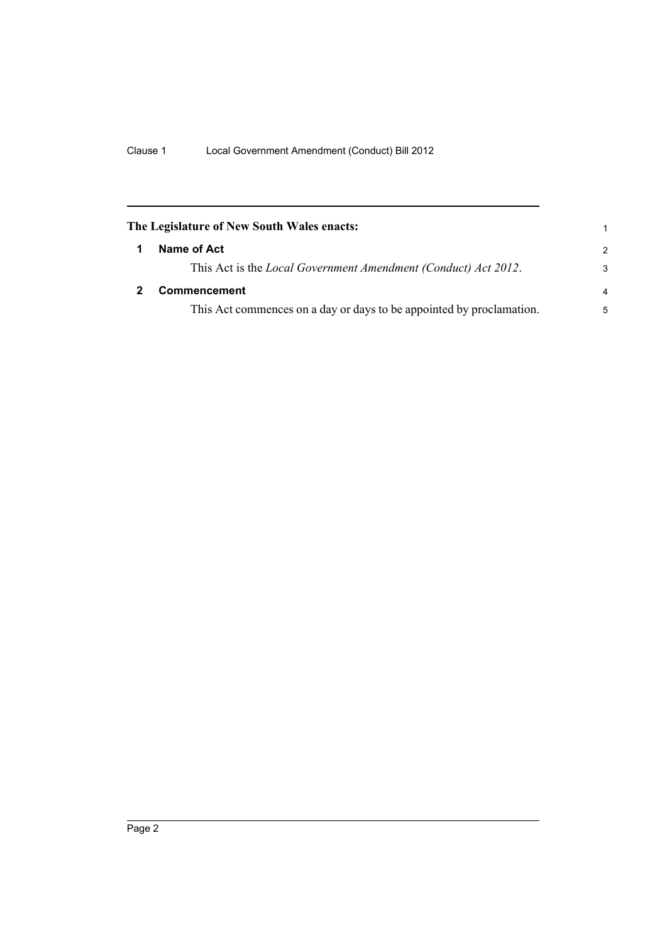<span id="page-7-1"></span><span id="page-7-0"></span>

| The Legislature of New South Wales enacts:                             | 1             |
|------------------------------------------------------------------------|---------------|
| Name of Act                                                            | $\mathcal{P}$ |
| This Act is the <i>Local Government Amendment (Conduct) Act 2012</i> . | 3             |
| <b>Commencement</b>                                                    | 4             |
| This Act commences on a day or days to be appointed by proclamation.   | 5             |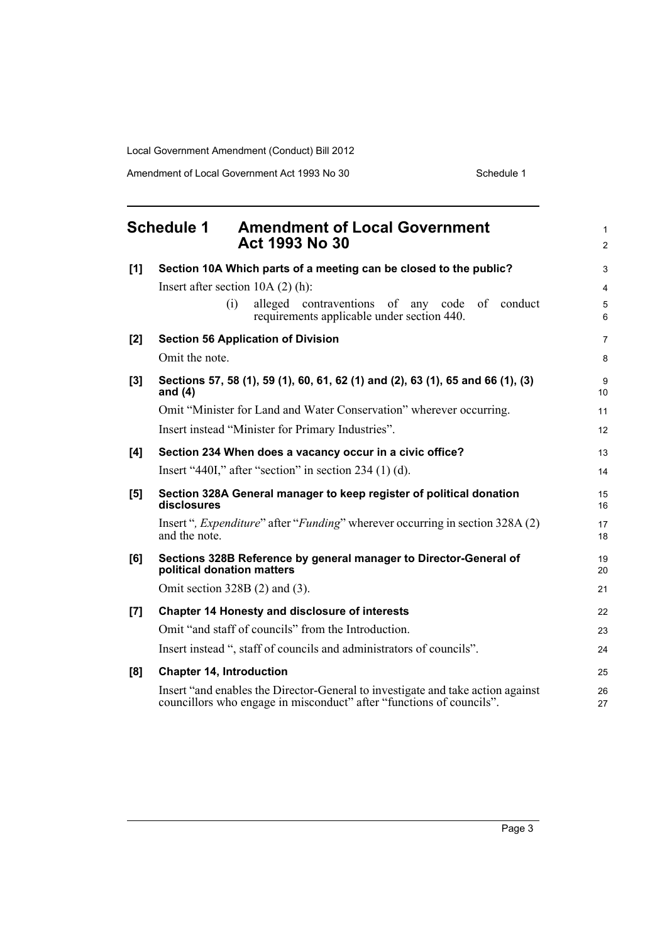Amendment of Local Government Act 1993 No 30 Schedule 1

<span id="page-8-0"></span>

|     | <b>Schedule 1</b><br><b>Amendment of Local Government</b><br>Act 1993 No 30                                                                             | 1<br>$\overline{2}$ |
|-----|---------------------------------------------------------------------------------------------------------------------------------------------------------|---------------------|
|     |                                                                                                                                                         |                     |
| [1] | Section 10A Which parts of a meeting can be closed to the public?                                                                                       | 3                   |
|     | Insert after section $10A(2)$ (h):                                                                                                                      | 4                   |
|     | alleged contraventions of any<br>of conduct<br>(i)<br>code<br>requirements applicable under section 440.                                                | 5<br>6              |
| [2] | <b>Section 56 Application of Division</b>                                                                                                               | 7                   |
|     | Omit the note.                                                                                                                                          | 8                   |
| [3] | Sections 57, 58 (1), 59 (1), 60, 61, 62 (1) and (2), 63 (1), 65 and 66 (1), (3)<br>and $(4)$                                                            | 9<br>10             |
|     | Omit "Minister for Land and Water Conservation" wherever occurring.                                                                                     | 11                  |
|     | Insert instead "Minister for Primary Industries".                                                                                                       | 12                  |
| [4] | Section 234 When does a vacancy occur in a civic office?                                                                                                | 13                  |
|     | Insert "440I," after "section" in section $234(1)(d)$ .                                                                                                 | 14                  |
| [5] | Section 328A General manager to keep register of political donation<br>disclosures                                                                      | 15<br>16            |
|     | Insert", <i>Expenditure</i> " after " <i>Funding</i> " wherever occurring in section 328A (2)<br>and the note.                                          | 17<br>18            |
| [6] | Sections 328B Reference by general manager to Director-General of<br>political donation matters                                                         | 19<br>20            |
|     | Omit section $328B(2)$ and (3).                                                                                                                         | 21                  |
| [7] | <b>Chapter 14 Honesty and disclosure of interests</b>                                                                                                   | 22                  |
|     | Omit "and staff of councils" from the Introduction.                                                                                                     | 23                  |
|     | Insert instead ", staff of councils and administrators of councils".                                                                                    | 24                  |
| [8] | <b>Chapter 14, Introduction</b>                                                                                                                         | 25                  |
|     | Insert "and enables the Director-General to investigate and take action against<br>councillors who engage in misconduct" after "functions of councils". | 26<br>27            |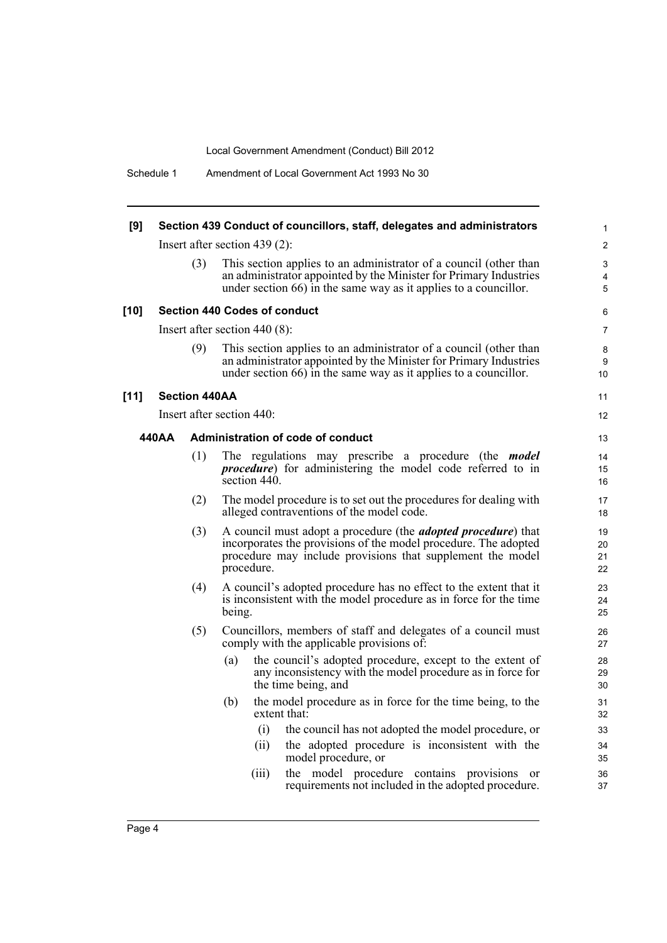| [9]    |       |                      |                                     | Section 439 Conduct of councillors, staff, delegates and administrators                                                                                                                                    | $\mathbf{1}$         |
|--------|-------|----------------------|-------------------------------------|------------------------------------------------------------------------------------------------------------------------------------------------------------------------------------------------------------|----------------------|
|        |       |                      | Insert after section 439 $(2)$ :    |                                                                                                                                                                                                            | 2                    |
|        |       | (3)                  |                                     | This section applies to an administrator of a council (other than<br>an administrator appointed by the Minister for Primary Industries<br>under section 66) in the same way as it applies to a councillor. | 3<br>4<br>5          |
| $[10]$ |       |                      | <b>Section 440 Codes of conduct</b> |                                                                                                                                                                                                            | 6                    |
|        |       |                      | Insert after section $440(8)$ :     |                                                                                                                                                                                                            | 7                    |
|        |       | (9)                  |                                     | This section applies to an administrator of a council (other than<br>an administrator appointed by the Minister for Primary Industries<br>under section 66) in the same way as it applies to a councillor. | 8<br>9<br>10         |
| $[11]$ |       | <b>Section 440AA</b> |                                     |                                                                                                                                                                                                            | 11                   |
|        |       |                      | Insert after section 440:           |                                                                                                                                                                                                            | 12                   |
|        | 440AA |                      |                                     | Administration of code of conduct                                                                                                                                                                          | 13                   |
|        |       | (1)                  | section 440.                        | The regulations may prescribe a procedure (the <i>model</i><br><i>procedure</i> ) for administering the model code referred to in                                                                          | 14<br>15<br>16       |
|        |       | (2)                  |                                     | The model procedure is to set out the procedures for dealing with<br>alleged contraventions of the model code.                                                                                             | 17<br>18             |
|        |       | (3)                  | procedure.                          | A council must adopt a procedure (the <i>adopted procedure</i> ) that<br>incorporates the provisions of the model procedure. The adopted<br>procedure may include provisions that supplement the model     | 19<br>20<br>21<br>22 |
|        |       | (4)                  | being.                              | A council's adopted procedure has no effect to the extent that it<br>is inconsistent with the model procedure as in force for the time                                                                     | 23<br>24<br>25       |
|        |       | (5)                  |                                     | Councillors, members of staff and delegates of a council must<br>comply with the applicable provisions of:                                                                                                 | 26<br>27             |
|        |       |                      | (a)                                 | the council's adopted procedure, except to the extent of<br>any inconsistency with the model procedure as in force for<br>the time being, and                                                              | 28<br>29<br>30       |
|        |       |                      | (b)                                 | the model procedure as in force for the time being, to the<br>extent that:                                                                                                                                 | 31<br>32             |
|        |       |                      | (i)                                 | the council has not adopted the model procedure, or                                                                                                                                                        | 33                   |
|        |       |                      | (11)                                | the adopted procedure is inconsistent with the<br>model procedure, or                                                                                                                                      | 34<br>35             |
|        |       |                      | (iii)                               | the model procedure contains provisions<br>- or<br>requirements not included in the adopted procedure.                                                                                                     | 36<br>37             |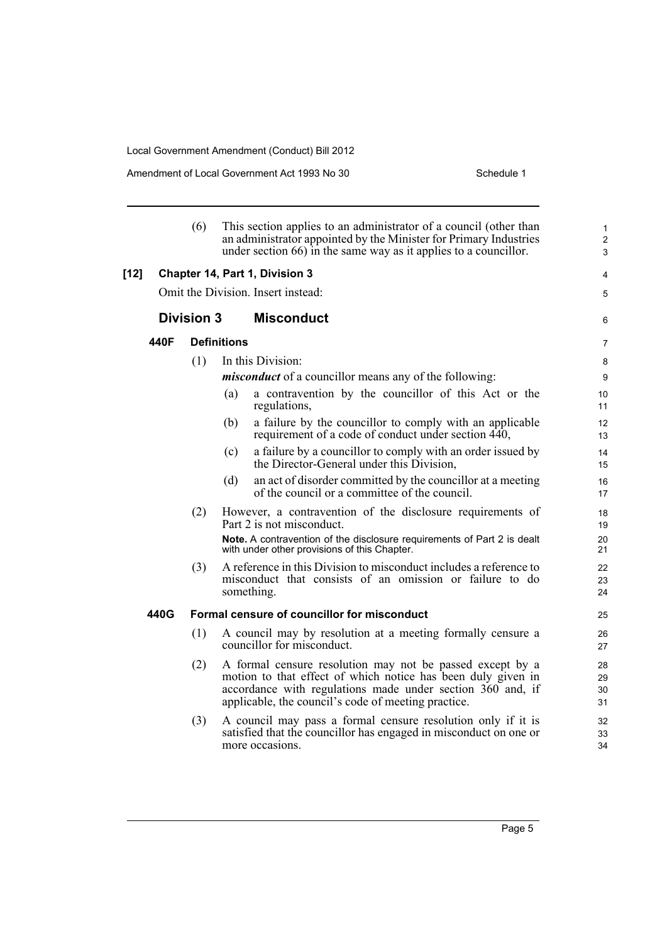Amendment of Local Government Act 1993 No 30 Schedule 1

|        |      | (6)               | This section applies to an administrator of a council (other than<br>an administrator appointed by the Minister for Primary Industries<br>under section 66) in the same way as it applies to a councillor.                                     | $\mathbf{1}$<br>$\overline{c}$<br>3 |
|--------|------|-------------------|------------------------------------------------------------------------------------------------------------------------------------------------------------------------------------------------------------------------------------------------|-------------------------------------|
| $[12]$ |      |                   | Chapter 14, Part 1, Division 3                                                                                                                                                                                                                 | 4                                   |
|        |      |                   | Omit the Division. Insert instead:                                                                                                                                                                                                             | 5                                   |
|        |      | <b>Division 3</b> | <b>Misconduct</b>                                                                                                                                                                                                                              | 6                                   |
|        | 440F |                   | <b>Definitions</b>                                                                                                                                                                                                                             | $\overline{7}$                      |
|        |      | (1)               | In this Division:<br><i>misconduct</i> of a councillor means any of the following:<br>a contravention by the councillor of this Act or the<br>(a)<br>regulations,<br>a failure by the councillor to comply with an applicable<br>(b)           | 8<br>9<br>10<br>11<br>12            |
|        |      |                   | requirement of a code of conduct under section 440,<br>a failure by a councillor to comply with an order issued by<br>(c)<br>the Director-General under this Division,                                                                         | 13<br>14<br>15                      |
|        |      |                   | (d)<br>an act of disorder committed by the council or at a meeting<br>of the council or a committee of the council.                                                                                                                            | 16<br>17                            |
|        |      | (2)               | However, a contravention of the disclosure requirements of<br>Part 2 is not misconduct.<br>Note. A contravention of the disclosure requirements of Part 2 is dealt                                                                             | 18<br>19<br>20                      |
|        |      | (3)               | with under other provisions of this Chapter.<br>A reference in this Division to misconduct includes a reference to<br>misconduct that consists of an omission or failure to do<br>something.                                                   | 21<br>22<br>23<br>24                |
|        | 440G |                   | Formal censure of councillor for misconduct                                                                                                                                                                                                    | 25                                  |
|        |      | (1)               | A council may by resolution at a meeting formally censure a<br>councillor for misconduct.                                                                                                                                                      | 26<br>27                            |
|        |      | (2)               | A formal censure resolution may not be passed except by a<br>motion to that effect of which notice has been duly given in<br>accordance with regulations made under section 360 and, if<br>applicable, the council's code of meeting practice. | 28<br>29<br>30<br>31                |
|        |      | (3)               | A council may pass a formal censure resolution only if it is<br>satisfied that the councillor has engaged in misconduct on one or<br>more occasions.                                                                                           | 32<br>33<br>34                      |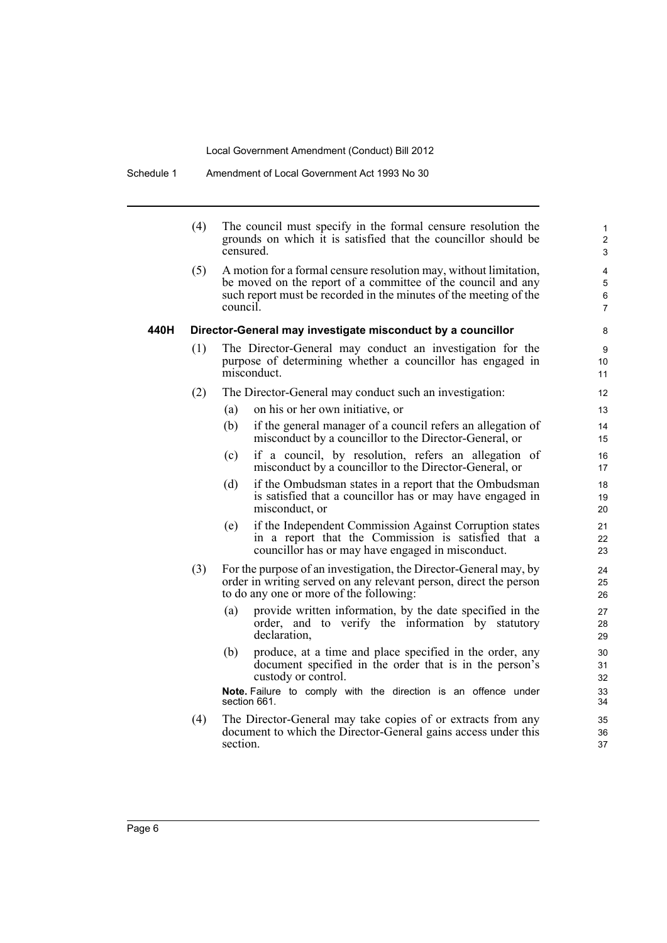Schedule 1 Amendment of Local Government Act 1993 No 30

|      | (4) | censured. | The council must specify in the formal censure resolution the<br>grounds on which it is satisfied that the councillor should be                                                                        | $\mathbf{1}$<br>$\overline{2}$<br>$\mathfrak{S}$ |
|------|-----|-----------|--------------------------------------------------------------------------------------------------------------------------------------------------------------------------------------------------------|--------------------------------------------------|
|      | (5) | council.  | A motion for a formal censure resolution may, without limitation,<br>be moved on the report of a committee of the council and any<br>such report must be recorded in the minutes of the meeting of the | 4<br>5<br>6<br>$\overline{7}$                    |
| 440H |     |           | Director-General may investigate misconduct by a councillor                                                                                                                                            | 8                                                |
|      | (1) |           | The Director-General may conduct an investigation for the<br>purpose of determining whether a councillor has engaged in<br>misconduct.                                                                 | 9<br>10<br>11                                    |
|      | (2) |           | The Director-General may conduct such an investigation:                                                                                                                                                | 12                                               |
|      |     | (a)       | on his or her own initiative, or                                                                                                                                                                       | 13                                               |
|      |     | (b)       | if the general manager of a council refers an allegation of<br>misconduct by a councillor to the Director-General, or                                                                                  | 14<br>15                                         |
|      |     | (c)       | if a council, by resolution, refers an allegation of<br>misconduct by a councillor to the Director-General, or                                                                                         | 16<br>17                                         |
|      |     | (d)       | if the Ombudsman states in a report that the Ombudsman<br>is satisfied that a councillor has or may have engaged in<br>misconduct, or                                                                  | 18<br>19<br>20                                   |
|      |     | (e)       | if the Independent Commission Against Corruption states<br>in a report that the Commission is satisfied that a<br>councillor has or may have engaged in misconduct.                                    | 21<br>22<br>23                                   |
|      | (3) |           | For the purpose of an investigation, the Director-General may, by<br>order in writing served on any relevant person, direct the person<br>to do any one or more of the following:                      | 24<br>25<br>26                                   |
|      |     | (a)       | provide written information, by the date specified in the<br>order, and to verify the information by statutory<br>declaration,                                                                         | 27<br>28<br>29                                   |
|      |     | (b)       | produce, at a time and place specified in the order, any<br>document specified in the order that is in the person's<br>custody or control.                                                             | 30<br>31<br>32                                   |
|      |     |           | Note. Failure to comply with the direction is an offence under<br>section 661.                                                                                                                         | 33<br>34                                         |
|      | (4) | section.  | The Director-General may take copies of or extracts from any<br>document to which the Director-General gains access under this                                                                         | 35<br>36<br>37                                   |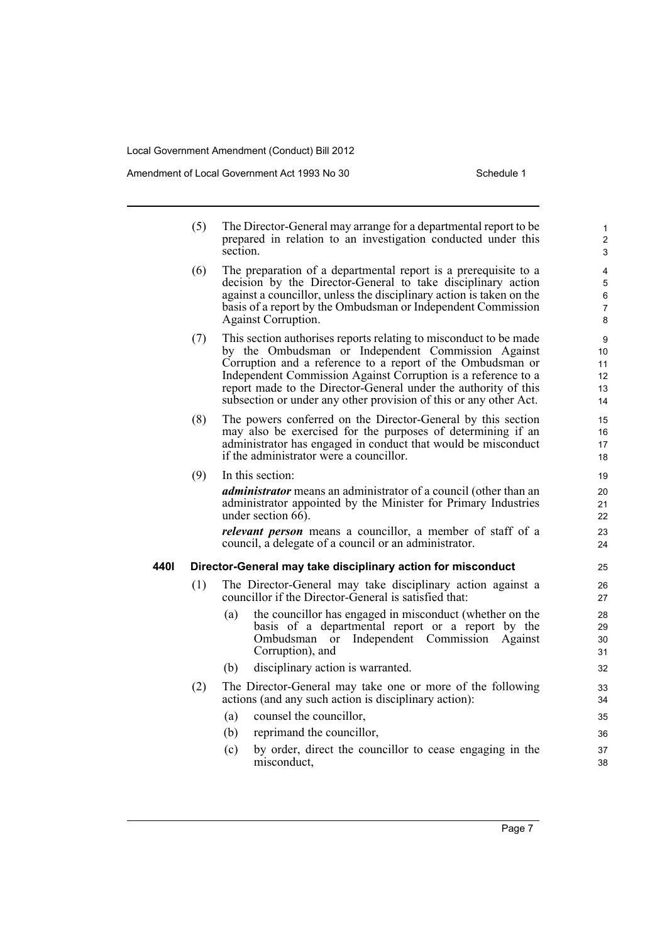Amendment of Local Government Act 1993 No 30 Schedule 1

|      | (5) | The Director-General may arrange for a departmental report to be.<br>prepared in relation to an investigation conducted under this<br>section.                                                                                                                                                                                                                                                 | $\mathbf{1}$<br>$\overline{2}$<br>3 |
|------|-----|------------------------------------------------------------------------------------------------------------------------------------------------------------------------------------------------------------------------------------------------------------------------------------------------------------------------------------------------------------------------------------------------|-------------------------------------|
|      | (6) | The preparation of a departmental report is a prerequisite to a<br>decision by the Director-General to take disciplinary action<br>against a councillor, unless the disciplinary action is taken on the<br>basis of a report by the Ombudsman or Independent Commission<br><b>Against Corruption.</b>                                                                                          | 4<br>5<br>6<br>7<br>8               |
|      | (7) | This section authorises reports relating to misconduct to be made<br>by the Ombudsman or Independent Commission Against<br>Corruption and a reference to a report of the Ombudsman or<br>Independent Commission Against Corruption is a reference to a<br>report made to the Director-General under the authority of this<br>subsection or under any other provision of this or any other Act. | 9<br>10<br>11<br>12<br>13<br>14     |
|      | (8) | The powers conferred on the Director-General by this section<br>may also be exercised for the purposes of determining if an<br>administrator has engaged in conduct that would be misconduct<br>if the administrator were a councillor.                                                                                                                                                        | 15<br>16<br>17<br>18                |
|      | (9) | In this section:<br><i>administrator</i> means an administrator of a council (other than an<br>administrator appointed by the Minister for Primary Industries<br>under section $6\overline{6}$ .<br><i>relevant person</i> means a councillor, a member of staff of a<br>council, a delegate of a council or an administrator.                                                                 | 19<br>20<br>21<br>22<br>23<br>24    |
| 440I |     | Director-General may take disciplinary action for misconduct                                                                                                                                                                                                                                                                                                                                   | 25                                  |
|      | (1) | The Director-General may take disciplinary action against a<br>councillor if the Director-General is satisfied that:                                                                                                                                                                                                                                                                           | 26<br>27                            |
|      |     | the councillor has engaged in misconduct (whether on the<br>(a)<br>basis of a departmental report or a report by the<br>Ombudsman<br>Independent Commission<br><sub>or</sub><br>Against<br>Corruption), and                                                                                                                                                                                    | 28<br>29<br>30<br>31                |
|      |     | disciplinary action is warranted.<br>(b)                                                                                                                                                                                                                                                                                                                                                       | 32                                  |
|      | (2) | The Director-General may take one or more of the following<br>actions (and any such action is disciplinary action):                                                                                                                                                                                                                                                                            | 33<br>34                            |
|      |     | (a)<br>counsel the councillor,                                                                                                                                                                                                                                                                                                                                                                 | 35                                  |
|      |     | (b)<br>reprimand the councillor,                                                                                                                                                                                                                                                                                                                                                               | 36                                  |
|      |     | (c)<br>by order, direct the councillor to cease engaging in the<br>misconduct,                                                                                                                                                                                                                                                                                                                 | 37<br>38                            |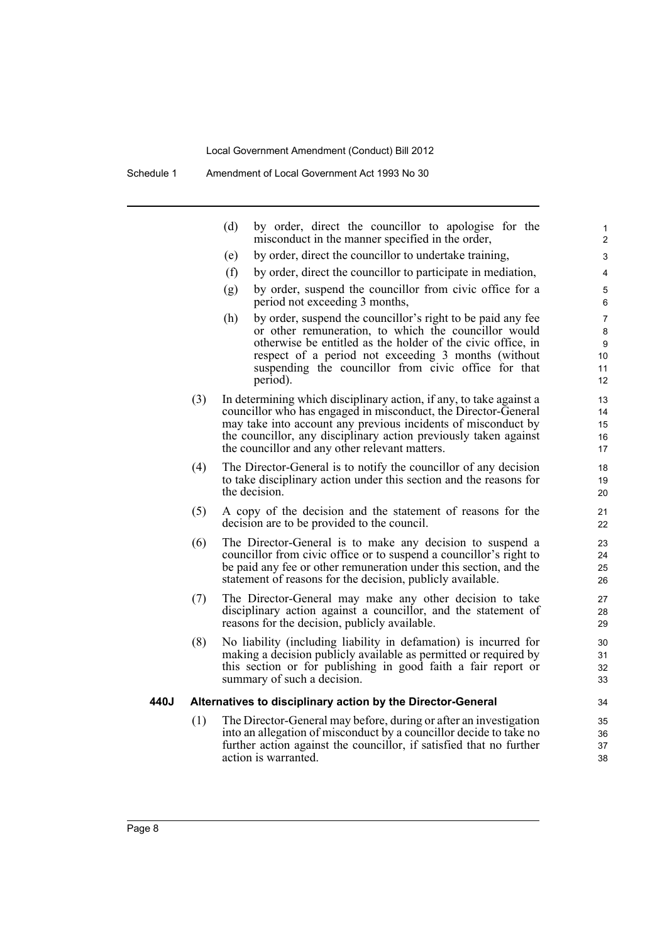Schedule 1 Amendment of Local Government Act 1993 No 30

|      |     | (d)<br>by order, direct the councillor to apologise for the<br>misconduct in the manner specified in the order,                                                                                                                                                                                                              | 1<br>$\overline{2}$           |
|------|-----|------------------------------------------------------------------------------------------------------------------------------------------------------------------------------------------------------------------------------------------------------------------------------------------------------------------------------|-------------------------------|
|      |     | (e)<br>by order, direct the councillor to undertake training,                                                                                                                                                                                                                                                                | 3                             |
|      |     | (f)<br>by order, direct the councillor to participate in mediation,                                                                                                                                                                                                                                                          | 4                             |
|      |     | (g)<br>by order, suspend the councillor from civic office for a<br>period not exceeding 3 months,                                                                                                                                                                                                                            | 5<br>6                        |
|      |     | by order, suspend the councillor's right to be paid any fee<br>(h)<br>or other remuneration, to which the councillor would<br>otherwise be entitled as the holder of the civic office, in<br>respect of a period not exceeding 3 months (without<br>suspending the councillor from civic office for that<br>period).         | 7<br>8<br>9<br>10<br>11<br>12 |
|      | (3) | In determining which disciplinary action, if any, to take against a<br>councillor who has engaged in misconduct, the Director-General<br>may take into account any previous incidents of misconduct by<br>the councillor, any disciplinary action previously taken against<br>the councillor and any other relevant matters. | 13<br>14<br>15<br>16<br>17    |
|      | (4) | The Director-General is to notify the councillor of any decision<br>to take disciplinary action under this section and the reasons for<br>the decision.                                                                                                                                                                      | 18<br>19<br>20                |
|      | (5) | A copy of the decision and the statement of reasons for the<br>decision are to be provided to the council.                                                                                                                                                                                                                   | 21<br>22                      |
|      | (6) | The Director-General is to make any decision to suspend a<br>councillor from civic office or to suspend a councillor's right to<br>be paid any fee or other remuneration under this section, and the<br>statement of reasons for the decision, publicly available.                                                           | 23<br>24<br>25<br>26          |
|      | (7) | The Director-General may make any other decision to take<br>disciplinary action against a councillor, and the statement of<br>reasons for the decision, publicly available.                                                                                                                                                  | 27<br>28<br>29                |
|      | (8) | No liability (including liability in defamation) is incurred for<br>making a decision publicly available as permitted or required by<br>this section or for publishing in good faith a fair report or<br>summary of such a decision.                                                                                         | 30<br>31<br>32<br>33          |
| 440J |     | Alternatives to disciplinary action by the Director-General                                                                                                                                                                                                                                                                  | 34                            |
|      | (1) | The Director-General may before, during or after an investigation<br>into an allegation of misconduct by a councillor decide to take no<br>further action against the councillor, if satisfied that no further<br>action is warranted.                                                                                       | 35<br>36<br>37<br>38          |
|      |     |                                                                                                                                                                                                                                                                                                                              |                               |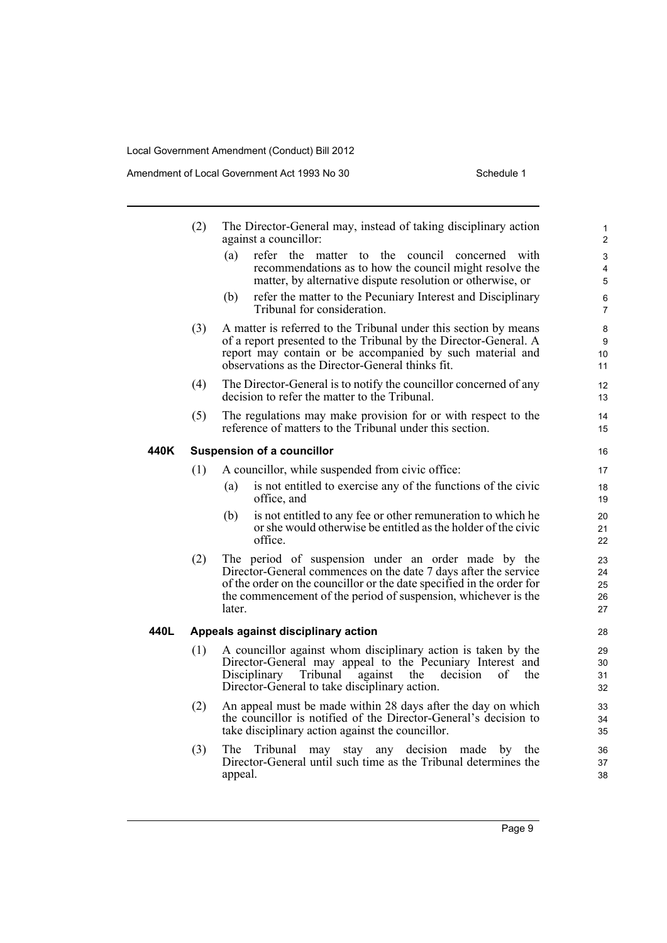|      | (2) | The Director-General may, instead of taking disciplinary action<br>against a councillor:                                                                                                                                                                                    | $\mathbf{1}$<br>$\overline{c}$ |
|------|-----|-----------------------------------------------------------------------------------------------------------------------------------------------------------------------------------------------------------------------------------------------------------------------------|--------------------------------|
|      |     | (a)<br>refer the matter to the council concerned with<br>recommendations as to how the council might resolve the<br>matter, by alternative dispute resolution or otherwise, or                                                                                              | 3<br>4<br>5                    |
|      |     | refer the matter to the Pecuniary Interest and Disciplinary<br>(b)<br>Tribunal for consideration.                                                                                                                                                                           | 6<br>$\overline{7}$            |
|      | (3) | A matter is referred to the Tribunal under this section by means<br>of a report presented to the Tribunal by the Director-General. A<br>report may contain or be accompanied by such material and<br>observations as the Director-General thinks fit.                       | 8<br>9<br>10<br>11             |
|      | (4) | The Director-General is to notify the councillor concerned of any<br>decision to refer the matter to the Tribunal.                                                                                                                                                          | 12<br>13                       |
|      | (5) | The regulations may make provision for or with respect to the<br>reference of matters to the Tribunal under this section.                                                                                                                                                   | 14<br>15                       |
| 440K |     | <b>Suspension of a councillor</b>                                                                                                                                                                                                                                           | 16                             |
|      | (1) | A councillor, while suspended from civic office:                                                                                                                                                                                                                            | 17                             |
|      |     | is not entitled to exercise any of the functions of the civic<br>(a)<br>office, and                                                                                                                                                                                         | 18<br>19                       |
|      |     | is not entitled to any fee or other remuneration to which he<br>(b)<br>or she would otherwise be entitled as the holder of the civic<br>office.                                                                                                                             | 20<br>21<br>22                 |
|      | (2) | The period of suspension under an order made by the<br>Director-General commences on the date 7 days after the service<br>of the order on the councillor or the date specified in the order for<br>the commencement of the period of suspension, whichever is the<br>later. | 23<br>24<br>25<br>26<br>27     |
| 440L |     | Appeals against disciplinary action                                                                                                                                                                                                                                         | 28                             |
|      | (1) | A councillor against whom disciplinary action is taken by the<br>Director-General may appeal to the Pecuniary Interest and<br>Tribunal<br>Disciplinary<br>against<br>the<br>decision<br>of<br>the<br>Director-General to take disciplinary action.                          | 29<br>30<br>31<br>32           |
|      | (2) | An appeal must be made within 28 days after the day on which<br>the councillor is notified of the Director-General's decision to<br>take disciplinary action against the councillor.                                                                                        | 33<br>34<br>35                 |
|      | (3) | Tribunal may<br>any decision<br>The.<br>stay<br>made<br>by<br>the<br>Director-General until such time as the Tribunal determines the<br>appeal.                                                                                                                             | 36<br>37<br>38                 |
|      |     |                                                                                                                                                                                                                                                                             |                                |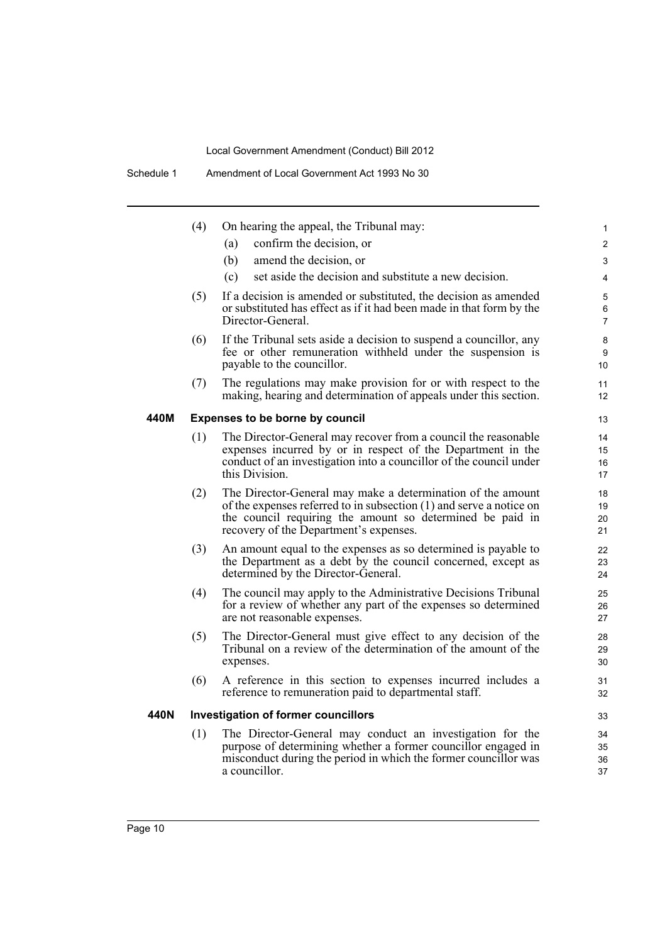|      | (4) | On hearing the appeal, the Tribunal may:                                                                                                                                                                                                  | $\mathbf{1}$             |
|------|-----|-------------------------------------------------------------------------------------------------------------------------------------------------------------------------------------------------------------------------------------------|--------------------------|
|      |     | confirm the decision, or<br>(a)                                                                                                                                                                                                           | $\overline{2}$           |
|      |     | (b)<br>amend the decision, or                                                                                                                                                                                                             | 3                        |
|      |     | set aside the decision and substitute a new decision.<br>(c)                                                                                                                                                                              | $\overline{4}$           |
|      | (5) | If a decision is amended or substituted, the decision as amended<br>or substituted has effect as if it had been made in that form by the<br>Director-General.                                                                             | 5<br>6<br>$\overline{7}$ |
|      | (6) | If the Tribunal sets aside a decision to suspend a councillor, any<br>fee or other remuneration withheld under the suspension is<br>payable to the councillor.                                                                            | 8<br>9<br>10             |
|      | (7) | The regulations may make provision for or with respect to the<br>making, hearing and determination of appeals under this section.                                                                                                         | 11<br>12                 |
| 440M |     | <b>Expenses to be borne by council</b>                                                                                                                                                                                                    | 13                       |
|      | (1) | The Director-General may recover from a council the reasonable<br>expenses incurred by or in respect of the Department in the<br>conduct of an investigation into a councillor of the council under<br>this Division.                     | 14<br>15<br>16<br>17     |
|      | (2) | The Director-General may make a determination of the amount<br>of the expenses referred to in subsection (1) and serve a notice on<br>the council requiring the amount so determined be paid in<br>recovery of the Department's expenses. | 18<br>19<br>20<br>21     |
|      | (3) | An amount equal to the expenses as so determined is payable to<br>the Department as a debt by the council concerned, except as<br>determined by the Director-General.                                                                     | 22<br>23<br>24           |
|      | (4) | The council may apply to the Administrative Decisions Tribunal<br>for a review of whether any part of the expenses so determined<br>are not reasonable expenses.                                                                          | 25<br>26<br>27           |
|      | (5) | The Director-General must give effect to any decision of the<br>Tribunal on a review of the determination of the amount of the<br>expenses.                                                                                               | 28<br>29<br>30           |
|      | (6) | A reference in this section to expenses incurred includes a<br>reference to remuneration paid to departmental staff.                                                                                                                      | 31<br>32                 |
| 440N |     | <b>Investigation of former councillors</b>                                                                                                                                                                                                | 33                       |
|      | (1) | The Director-General may conduct an investigation for the<br>purpose of determining whether a former councillor engaged in<br>misconduct during the period in which the former councillor was<br>a councillor.                            | 34<br>35<br>36<br>37     |
|      |     |                                                                                                                                                                                                                                           |                          |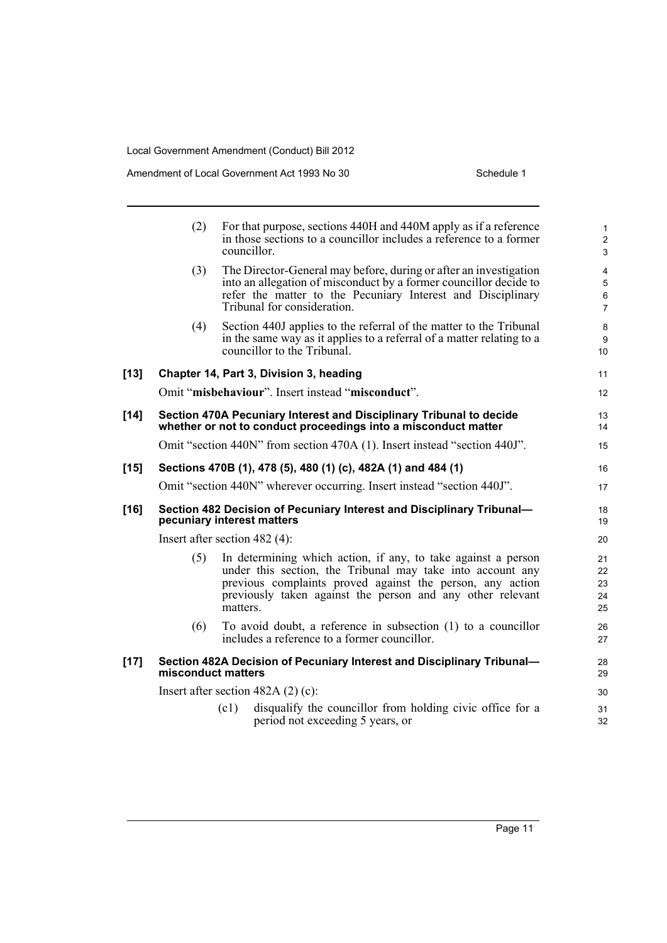|        | (2)                | For that purpose, sections 440H and 440M apply as if a reference<br>in those sections to a councillor includes a reference to a former<br>councillor.                                                                                                              | $\mathbf{1}$<br>$\overline{2}$<br>$\mathfrak{S}$          |
|--------|--------------------|--------------------------------------------------------------------------------------------------------------------------------------------------------------------------------------------------------------------------------------------------------------------|-----------------------------------------------------------|
|        | (3)                | The Director-General may before, during or after an investigation<br>into an allegation of misconduct by a former councillor decide to<br>refer the matter to the Pecuniary Interest and Disciplinary<br>Tribunal for consideration.                               | $\overline{4}$<br>$\sqrt{5}$<br>$\,6\,$<br>$\overline{7}$ |
|        | (4)                | Section 440J applies to the referral of the matter to the Tribunal<br>in the same way as it applies to a referral of a matter relating to a<br>councillor to the Tribunal.                                                                                         | 8<br>9<br>10                                              |
| $[13]$ |                    | Chapter 14, Part 3, Division 3, heading                                                                                                                                                                                                                            | 11                                                        |
|        |                    | Omit "misbehaviour". Insert instead "misconduct".                                                                                                                                                                                                                  | 12                                                        |
| $[14]$ |                    | Section 470A Pecuniary Interest and Disciplinary Tribunal to decide<br>whether or not to conduct proceedings into a misconduct matter                                                                                                                              | 13<br>14                                                  |
|        |                    | Omit "section 440N" from section 470A (1). Insert instead "section 440J".                                                                                                                                                                                          | 15                                                        |
| $[15]$ |                    | Sections 470B (1), 478 (5), 480 (1) (c), 482A (1) and 484 (1)                                                                                                                                                                                                      | 16                                                        |
|        |                    | Omit "section 440N" wherever occurring. Insert instead "section 440J".                                                                                                                                                                                             | 17                                                        |
| $[16]$ |                    | Section 482 Decision of Pecuniary Interest and Disciplinary Tribunal-<br>pecuniary interest matters                                                                                                                                                                | 18<br>19                                                  |
|        |                    | Insert after section $482(4)$ :                                                                                                                                                                                                                                    | 20                                                        |
|        | (5)                | In determining which action, if any, to take against a person<br>under this section, the Tribunal may take into account any<br>previous complaints proved against the person, any action<br>previously taken against the person and any other relevant<br>matters. | 21<br>22<br>23<br>24<br>25                                |
|        | (6)                | To avoid doubt, a reference in subsection (1) to a councillor<br>includes a reference to a former councillor.                                                                                                                                                      | 26<br>27                                                  |
| $[17]$ | misconduct matters | Section 482A Decision of Pecuniary Interest and Disciplinary Tribunal-                                                                                                                                                                                             | 28<br>29                                                  |
|        |                    | Insert after section $482A(2)(c)$ :                                                                                                                                                                                                                                | 30                                                        |
|        |                    | disqualify the councillor from holding civic office for a<br>(c1)<br>period not exceeding 5 years, or                                                                                                                                                              | 31<br>32                                                  |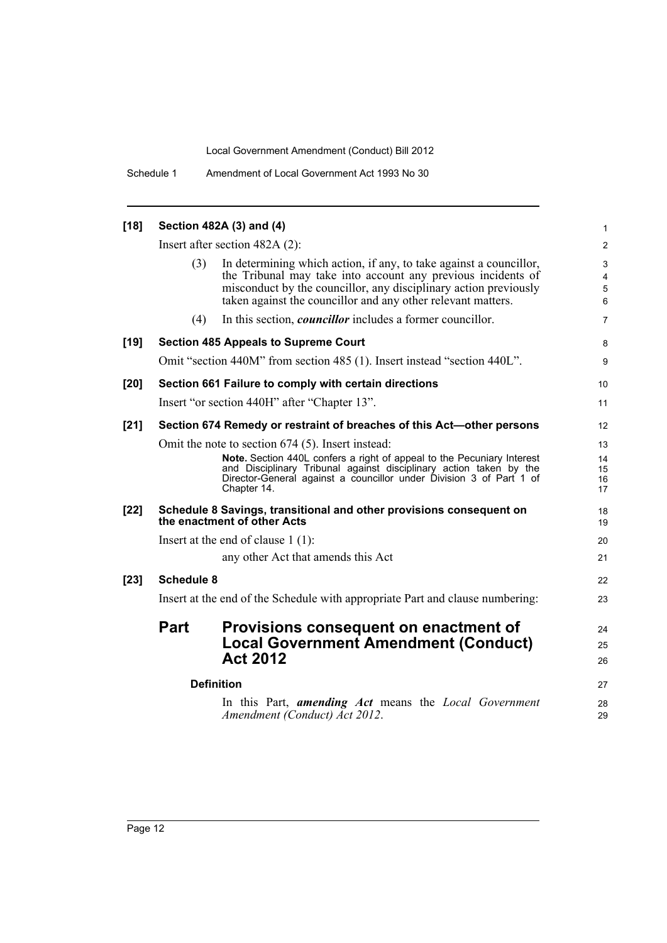Schedule 1 Amendment of Local Government Act 1993 No 30

| $[18]$ |                   | Section 482A (3) and (4)                                                                                                                                                                                                                                                                | $\mathbf{1}$               |
|--------|-------------------|-----------------------------------------------------------------------------------------------------------------------------------------------------------------------------------------------------------------------------------------------------------------------------------------|----------------------------|
|        |                   | Insert after section $482A(2)$ :                                                                                                                                                                                                                                                        | $\overline{2}$             |
|        | (3)               | In determining which action, if any, to take against a councillor,<br>the Tribunal may take into account any previous incidents of<br>misconduct by the councillor, any disciplinary action previously<br>taken against the councillor and any other relevant matters.                  | 3<br>4<br>$\sqrt{5}$<br>6  |
|        | (4)               | In this section, <i>councillor</i> includes a former councillor.                                                                                                                                                                                                                        | $\overline{7}$             |
| $[19]$ |                   | <b>Section 485 Appeals to Supreme Court</b>                                                                                                                                                                                                                                             | 8                          |
|        |                   | Omit "section 440M" from section 485 (1). Insert instead "section 440L".                                                                                                                                                                                                                | 9                          |
| [20]   |                   | Section 661 Failure to comply with certain directions                                                                                                                                                                                                                                   | 10                         |
|        |                   | Insert "or section 440H" after "Chapter 13".                                                                                                                                                                                                                                            | 11                         |
| $[21]$ |                   | Section 674 Remedy or restraint of breaches of this Act-other persons                                                                                                                                                                                                                   | $12 \overline{ }$          |
|        |                   | Omit the note to section 674 (5). Insert instead:<br>Note. Section 440L confers a right of appeal to the Pecuniary Interest<br>and Disciplinary Tribunal against disciplinary action taken by the<br>Director-General against a councillor under Division 3 of Part 1 of<br>Chapter 14. | 13<br>14<br>15<br>16<br>17 |
| $[22]$ |                   | Schedule 8 Savings, transitional and other provisions consequent on<br>the enactment of other Acts                                                                                                                                                                                      | 18<br>19                   |
|        |                   | Insert at the end of clause $1(1)$ :                                                                                                                                                                                                                                                    | 20                         |
|        |                   | any other Act that amends this Act                                                                                                                                                                                                                                                      | 21                         |
| $[23]$ | <b>Schedule 8</b> |                                                                                                                                                                                                                                                                                         | 22                         |
|        |                   | Insert at the end of the Schedule with appropriate Part and clause numbering:                                                                                                                                                                                                           | 23                         |
|        | Part              | Provisions consequent on enactment of<br><b>Local Government Amendment (Conduct)</b><br><b>Act 2012</b>                                                                                                                                                                                 | 24<br>25<br>26             |
|        |                   | <b>Definition</b>                                                                                                                                                                                                                                                                       | 27                         |
|        |                   | In this Part, <b>amending Act</b> means the Local Government<br>Amendment (Conduct) Act 2012.                                                                                                                                                                                           | 28<br>29                   |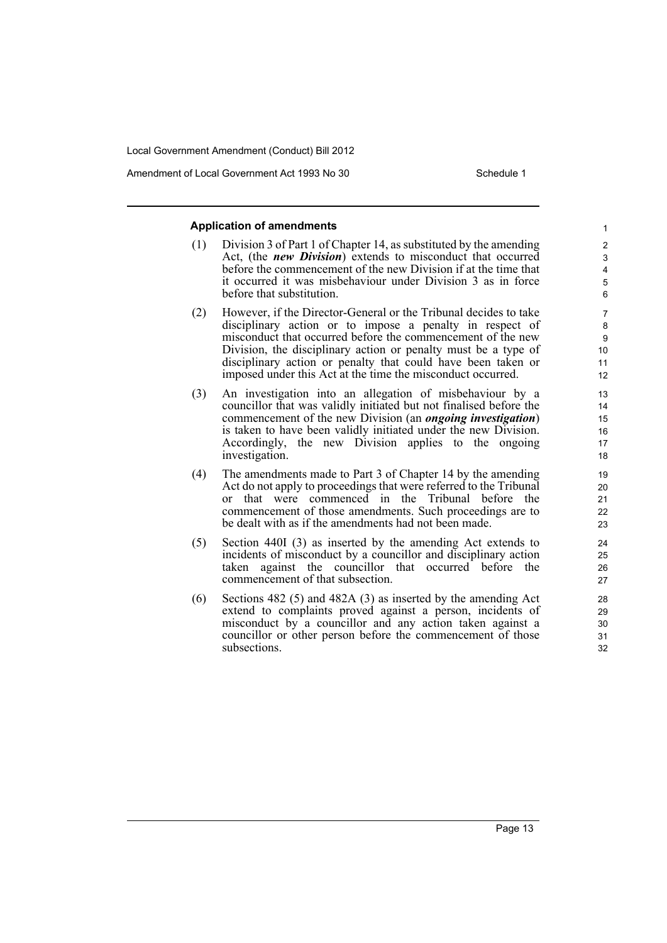Amendment of Local Government Act 1993 No 30 Schedule 1

#### **Application of amendments**

- (1) Division 3 of Part 1 of Chapter 14, as substituted by the amending Act, (the *new Division*) extends to misconduct that occurred before the commencement of the new Division if at the time that it occurred it was misbehaviour under Division 3 as in force before that substitution.
- (2) However, if the Director-General or the Tribunal decides to take disciplinary action or to impose a penalty in respect of misconduct that occurred before the commencement of the new Division, the disciplinary action or penalty must be a type of disciplinary action or penalty that could have been taken or imposed under this Act at the time the misconduct occurred.
- (3) An investigation into an allegation of misbehaviour by a councillor that was validly initiated but not finalised before the commencement of the new Division (an *ongoing investigation*) is taken to have been validly initiated under the new Division. Accordingly, the new Division applies to the ongoing investigation.
- (4) The amendments made to Part 3 of Chapter 14 by the amending Act do not apply to proceedings that were referred to the Tribunal or that were commenced in the Tribunal before the commencement of those amendments. Such proceedings are to be dealt with as if the amendments had not been made.
- (5) Section 440I (3) as inserted by the amending Act extends to incidents of misconduct by a councillor and disciplinary action taken against the councillor that occurred before the commencement of that subsection.
- (6) Sections 482 (5) and 482A (3) as inserted by the amending Act extend to complaints proved against a person, incidents of misconduct by a councillor and any action taken against a councillor or other person before the commencement of those subsections.

Page 13